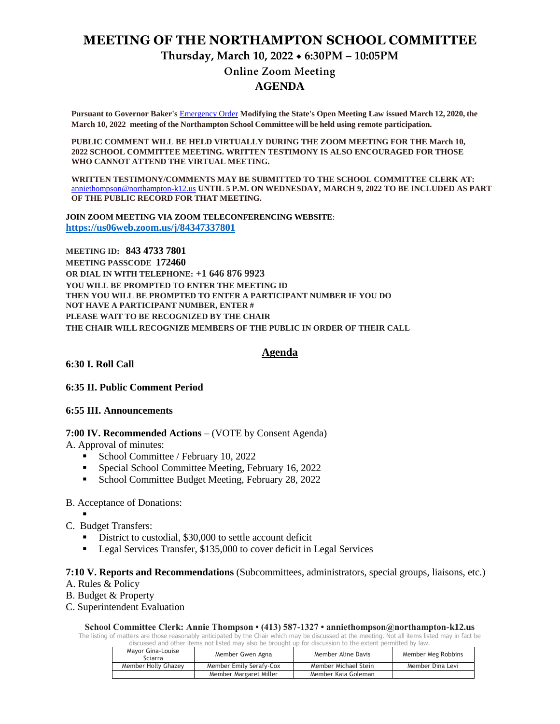# **MEETING OF THE NORTHAMPTON SCHOOL COMMITTEE Thursday, March 10, 2022 6:30PM – 10:05PM**

**Online Zoom Meeting AGENDA**

**Pursuant to Governor Baker's** [Emergency Order](about:blank) **Modifying the State's Open Meeting Law issued March 12, 2020, the March 10, 2022 meeting of the Northampton School Committee will be held using remote participation.**

**PUBLIC COMMENT WILL BE HELD VIRTUALLY DURING THE ZOOM MEETING FOR THE March 10, 2022 SCHOOL COMMITTEE MEETING. WRITTEN TESTIMONY IS ALSO ENCOURAGED FOR THOSE WHO CANNOT ATTEND THE VIRTUAL MEETING.**

**WRITTEN TESTIMONY/COMMENTS MAY BE SUBMITTED TO THE SCHOOL COMMITTEE CLERK AT:** [anniethompson@northampton-k12.us](about:blank) **UNTIL 5 P.M. ON WEDNESDAY, MARCH 9, 2022 TO BE INCLUDED AS PART OF THE PUBLIC RECORD FOR THAT MEETING.**

**JOIN ZOOM MEETING VIA ZOOM TELECONFERENCING WEBSITE**: **<https://us06web.zoom.us/j/84347337801>**

**MEETING ID: 843 4733 7801 MEETING PASSCODE 172460 OR DIAL IN WITH TELEPHONE: +1 646 876 9923 YOU WILL BE PROMPTED TO ENTER THE MEETING ID THEN YOU WILL BE PROMPTED TO ENTER A PARTICIPANT NUMBER IF YOU DO NOT HAVE A PARTICIPANT NUMBER, ENTER # PLEASE WAIT TO BE RECOGNIZED BY THE CHAIR THE CHAIR WILL RECOGNIZE MEMBERS OF THE PUBLIC IN ORDER OF THEIR CALL**

### **Agenda**

**6:30 I. Roll Call** 

**6:35 II. Public Comment Period** 

#### **6:55 III. Announcements**

#### **7:00 IV. Recommended Actions** – (VOTE by Consent Agenda)

A. Approval of minutes:

- School Committee / February 10, 2022
- **Special School Committee Meeting, February 16, 2022**
- School Committee Budget Meeting, February 28, 2022

#### B. Acceptance of Donations:

.

- C. Budget Transfers:
	- District to custodial, \$30,000 to settle account deficit
	- Legal Services Transfer, \$135,000 to cover deficit in Legal Services

#### **7:10 V. Reports and Recommendations** (Subcommittees, administrators, special groups, liaisons, etc.)

A. Rules & Policy

- B. Budget & Property
- C. Superintendent Evaluation

**School Committee Clerk: Annie Thompson • (413) 587-1327 • anniethompson@northampton-k12.us**

The listing of matters are those reasonably anticipated by the Chair which may be discussed at the meeting. Not all items listed may in fact be discussed and other items not listed may also be brought up for discussion to the extent permitted by law.

| Mayor Gina-Louise<br>Sciarra | Member Gwen Agna        | Member Aline Davis   | Member Meg Robbins |
|------------------------------|-------------------------|----------------------|--------------------|
| Member Holly Ghazey          | Member Emily Serafy-Cox | Member Michael Stein | Member Dina Levi   |
|                              | Member Margaret Miller  | Member Kaia Goleman  |                    |